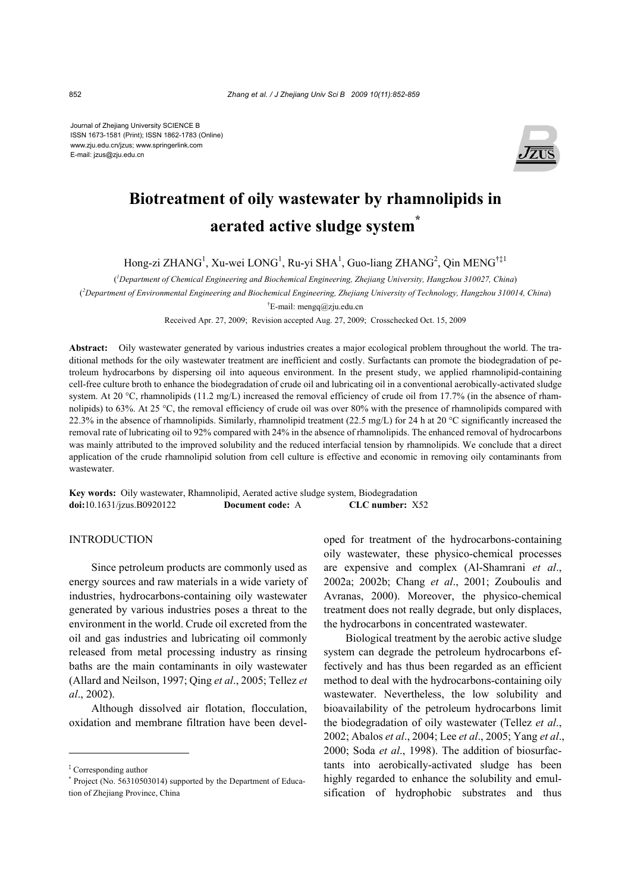Journal of Zhejiang University SCIENCE B ISSN 1673-1581 (Print); ISSN 1862-1783 (Online) www.zju.edu.cn/jzus; www.springerlink.com E-mail: jzus@zju.edu.cn



# **Biotreatment of oily wastewater by rhamnolipids in aerated active sludge system\***

Hong-zi ZHANG<sup>1</sup>, Xu-wei LONG<sup>1</sup>, Ru-yi SHA<sup>1</sup>, Guo-liang ZHANG<sup>2</sup>, Qin MENG<sup>†‡1</sup>

( *1 Department of Chemical Engineering and Biochemical Engineering, Zhejiang University, Hangzhou 310027, China*)

( *2 Department of Environmental Engineering and Biochemical Engineering, Zhejiang University of Technology, Hangzhou 310014, China*)

† E-mail: mengq@zju.edu.cn

Received Apr. 27, 2009; Revision accepted Aug. 27, 2009; Crosschecked Oct. 15, 2009

**Abstract:** Oily wastewater generated by various industries creates a major ecological problem throughout the world. The traditional methods for the oily wastewater treatment are inefficient and costly. Surfactants can promote the biodegradation of petroleum hydrocarbons by dispersing oil into aqueous environment. In the present study, we applied rhamnolipid-containing cell-free culture broth to enhance the biodegradation of crude oil and lubricating oil in a conventional aerobically-activated sludge system. At 20 °C, rhamnolipids (11.2 mg/L) increased the removal efficiency of crude oil from 17.7% (in the absence of rhamnolipids) to 63%. At 25 °C, the removal efficiency of crude oil was over 80% with the presence of rhamnolipids compared with 22.3% in the absence of rhamnolipids. Similarly, rhamnolipid treatment (22.5 mg/L) for 24 h at 20 °C significantly increased the removal rate of lubricating oil to 92% compared with 24% in the absence of rhamnolipids. The enhanced removal of hydrocarbons was mainly attributed to the improved solubility and the reduced interfacial tension by rhamnolipids. We conclude that a direct application of the crude rhamnolipid solution from cell culture is effective and economic in removing oily contaminants from wastewater.

**Key words:** Oily wastewater, Rhamnolipid, Aerated active sludge system, Biodegradation **doi:**10.1631/jzus.B0920122 **Document code:** A **CLC number:** X52

# INTRODUCTION

Since petroleum products are commonly used as energy sources and raw materials in a wide variety of industries, hydrocarbons-containing oily wastewater generated by various industries poses a threat to the environment in the world. Crude oil excreted from the oil and gas industries and lubricating oil commonly released from metal processing industry as rinsing baths are the main contaminants in oily wastewater (Allard and Neilson, 1997; Qing *et al*., 2005; Tellez *et al*., 2002).

Although dissolved air flotation, flocculation, oxidation and membrane filtration have been developed for treatment of the hydrocarbons-containing oily wastewater, these physico-chemical processes are expensive and complex (Al-Shamrani *et al*., 2002a; 2002b; Chang *et al*., 2001; Zouboulis and Avranas, 2000). Moreover, the physico-chemical treatment does not really degrade, but only displaces, the hydrocarbons in concentrated wastewater.

Biological treatment by the aerobic active sludge system can degrade the petroleum hydrocarbons effectively and has thus been regarded as an efficient method to deal with the hydrocarbons-containing oily wastewater. Nevertheless, the low solubility and bioavailability of the petroleum hydrocarbons limit the biodegradation of oily wastewater (Tellez *et al*., 2002; Abalos *et al*., 2004; Lee *et al*., 2005; Yang *et al*., 2000; Soda *et al*., 1998). The addition of biosurfactants into aerobically-activated sludge has been highly regarded to enhance the solubility and emulsification of hydrophobic substrates and thus

<sup>‡</sup> Corresponding author

<sup>\*</sup> Project (No. 56310503014) supported by the Department of Education of Zhejiang Province, China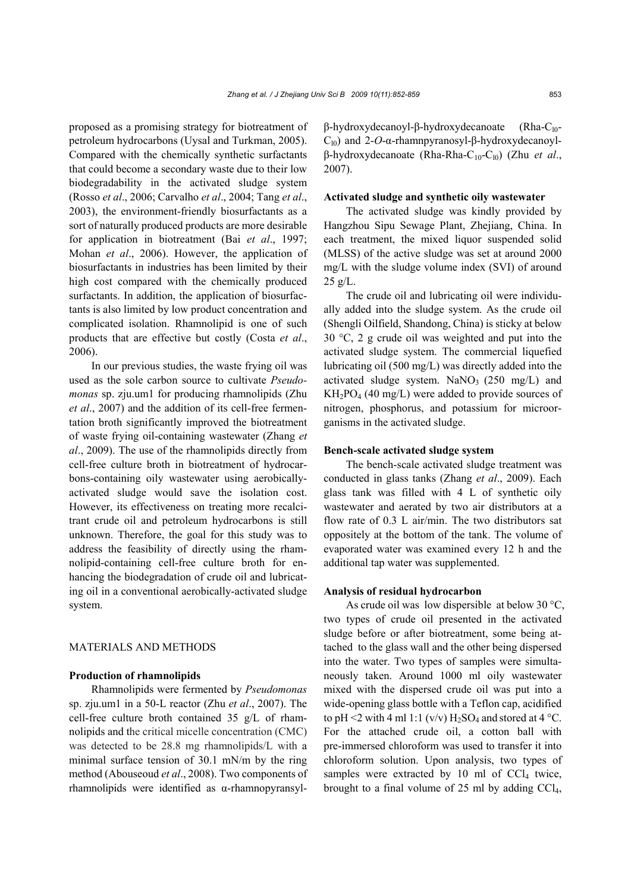proposed as a promising strategy for biotreatment of petroleum hydrocarbons (Uysal and Turkman, 2005). Compared with the chemically synthetic surfactants that could become a secondary waste due to their low biodegradability in the activated sludge system (Rosso *et al*., 2006; Carvalho *et al*., 2004; Tang *et al*., 2003), the environment-friendly biosurfactants as a sort of naturally produced products are more desirable for application in biotreatment (Bai *et al*., 1997; Mohan *et al*., 2006). However, the application of biosurfactants in industries has been limited by their high cost compared with the chemically produced surfactants. In addition, the application of biosurfactants is also limited by low product concentration and complicated isolation. Rhamnolipid is one of such products that are effective but costly (Costa *et al*., 2006).

In our previous studies, the waste frying oil was used as the sole carbon source to cultivate *Pseudomonas* sp. zju.um1 for producing rhamnolipids (Zhu *et al*., 2007) and the addition of its cell-free fermentation broth significantly improved the biotreatment of waste frying oil-containing wastewater (Zhang *et al*., 2009). The use of the rhamnolipids directly from cell-free culture broth in biotreatment of hydrocarbons-containing oily wastewater using aerobicallyactivated sludge would save the isolation cost. However, its effectiveness on treating more recalcitrant crude oil and petroleum hydrocarbons is still unknown. Therefore, the goal for this study was to address the feasibility of directly using the rhamnolipid-containing cell-free culture broth for enhancing the biodegradation of crude oil and lubricating oil in a conventional aerobically-activated sludge system.

# MATERIALS AND METHODS

## **Production of rhamnolipids**

Rhamnolipids were fermented by *Pseudomonas*  sp. zju.um1 in a 50-L reactor (Zhu *et al*., 2007). The cell-free culture broth contained 35 g/L of rhamnolipids and the critical micelle concentration (CMC) was detected to be 28.8 mg rhamnolipids/L with a minimal surface tension of 30.1 mN/m by the ring method (Abouseoud *et al*., 2008). Two components of rhamnolipids were identified as α-rhamnopyransylβ-hydroxydecanoyl-β-hydroxydecanoate (Rha-C<sub>l0</sub>-C<sub>l0</sub>) and 2-*O*-α-rhamnpyranosyl-β-hydroxydecanoylβ-hydroxydecanoate (Rha-Rha-C10-Cl0) (Zhu *et al*., 2007).

# **Activated sludge and synthetic oily wastewater**

The activated sludge was kindly provided by Hangzhou Sipu Sewage Plant, Zhejiang, China. In each treatment, the mixed liquor suspended solid (MLSS) of the active sludge was set at around 2000 mg/L with the sludge volume index (SVI) of around  $25$  g/L.

The crude oil and lubricating oil were individually added into the sludge system. As the crude oil (Shengli Oilfield, Shandong, China) is sticky at below 30 °C, 2 g crude oil was weighted and put into the activated sludge system. The commercial liquefied lubricating oil (500 mg/L) was directly added into the activated sludge system. NaNO<sub>3</sub> (250 mg/L) and  $KH_2PO_4$  (40 mg/L) were added to provide sources of nitrogen, phosphorus, and potassium for microorganisms in the activated sludge.

## **Bench-scale activated sludge system**

The bench-scale activated sludge treatment was conducted in glass tanks (Zhang *et al*., 2009). Each glass tank was filled with 4 L of synthetic oily wastewater and aerated by two air distributors at a flow rate of 0.3 L air/min. The two distributors sat oppositely at the bottom of the tank. The volume of evaporated water was examined every 12 h and the additional tap water was supplemented.

## **Analysis of residual hydrocarbon**

As crude oil was low dispersible at below 30 °C, two types of crude oil presented in the activated sludge before or after biotreatment, some being attached to the glass wall and the other being dispersed into the water. Two types of samples were simultaneously taken. Around 1000 ml oily wastewater mixed with the dispersed crude oil was put into a wide-opening glass bottle with a Teflon cap, acidified to pH <2 with 4 ml 1:1 (v/v)  $H_2SO_4$  and stored at 4 °C. For the attached crude oil, a cotton ball with pre-immersed chloroform was used to transfer it into chloroform solution. Upon analysis, two types of samples were extracted by 10 ml of  $CCl<sub>4</sub>$  twice, brought to a final volume of 25 ml by adding  $CCl<sub>4</sub>$ ,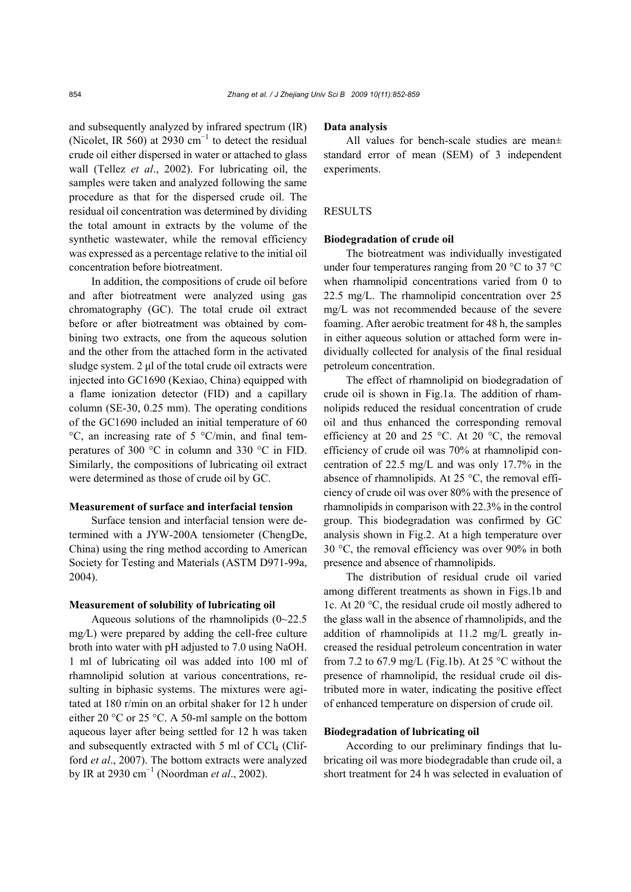and subsequently analyzed by infrared spectrum (IR) (Nicolet, IR 560) at 2930  $\text{cm}^{-1}$  to detect the residual crude oil either dispersed in water or attached to glass wall (Tellez *et al*., 2002). For lubricating oil, the samples were taken and analyzed following the same procedure as that for the dispersed crude oil. The residual oil concentration was determined by dividing the total amount in extracts by the volume of the synthetic wastewater, while the removal efficiency was expressed as a percentage relative to the initial oil concentration before biotreatment.

In addition, the compositions of crude oil before and after biotreatment were analyzed using gas chromatography (GC). The total crude oil extract before or after biotreatment was obtained by combining two extracts, one from the aqueous solution and the other from the attached form in the activated sludge system. 2 μl of the total crude oil extracts were injected into GC1690 (Kexiao, China) equipped with a flame ionization detector (FID) and a capillary column (SE-30, 0.25 mm). The operating conditions of the GC1690 included an initial temperature of 60  $\rm{^{\circ}C}$ , an increasing rate of 5  $\rm{^{\circ}C/min}$ , and final temperatures of 300 °C in column and 330 °C in FID. Similarly, the compositions of lubricating oil extract were determined as those of crude oil by GC.

## **Measurement of surface and interfacial tension**

Surface tension and interfacial tension were determined with a JYW-200A tensiometer (ChengDe, China) using the ring method according to American Society for Testing and Materials (ASTM D971-99a, 2004).

#### **Measurement of solubility of lubricating oil**

Aqueous solutions of the rhamnolipids (0~22.5 mg*/*L) were prepared by adding the cell-free culture broth into water with pH adjusted to 7.0 using NaOH. 1 ml of lubricating oil was added into 100 ml of rhamnolipid solution at various concentrations, resulting in biphasic systems. The mixtures were agitated at 180 r/min on an orbital shaker for 12 h under either 20 °C or 25 °C. A 50-ml sample on the bottom aqueous layer after being settled for 12 h was taken and subsequently extracted with  $5$  ml of CCl<sub>4</sub> (Clifford *et al*., 2007). The bottom extracts were analyzed by IR at 2930 cm<sup>−</sup><sup>1</sup> (Noordman *et al*., 2002).

#### **Data analysis**

All values for bench-scale studies are mean± standard error of mean (SEM) of 3 independent experiments.

#### RESULTS

#### **Biodegradation of crude oil**

The biotreatment was individually investigated under four temperatures ranging from 20 °C to 37 °C when rhamnolipid concentrations varied from 0 to 22.5 mg/L. The rhamnolipid concentration over 25 mg/L was not recommended because of the severe foaming. After aerobic treatment for 48 h, the samples in either aqueous solution or attached form were individually collected for analysis of the final residual petroleum concentration.

The effect of rhamnolipid on biodegradation of crude oil is shown in Fig.1a. The addition of rhamnolipids reduced the residual concentration of crude oil and thus enhanced the corresponding removal efficiency at 20 and 25  $^{\circ}$ C. At 20  $^{\circ}$ C, the removal efficiency of crude oil was 70% at rhamnolipid concentration of 22.5 mg/L and was only 17.7% in the absence of rhamnolipids. At 25 °C, the removal efficiency of crude oil was over 80% with the presence of rhamnolipids in comparison with 22.3% in the control group. This biodegradation was confirmed by GC analysis shown in Fig.2. At a high temperature over 30 °C, the removal efficiency was over 90% in both presence and absence of rhamnolipids.

The distribution of residual crude oil varied among different treatments as shown in Figs.1b and 1c. At 20 °C, the residual crude oil mostly adhered to the glass wall in the absence of rhamnolipids, and the addition of rhamnolipids at 11.2 mg/L greatly increased the residual petroleum concentration in water from 7.2 to 67.9 mg/L (Fig.1b). At 25  $^{\circ}$ C without the presence of rhamnolipid, the residual crude oil distributed more in water, indicating the positive effect of enhanced temperature on dispersion of crude oil.

#### **Biodegradation of lubricating oil**

According to our preliminary findings that lubricating oil was more biodegradable than crude oil, a short treatment for 24 h was selected in evaluation of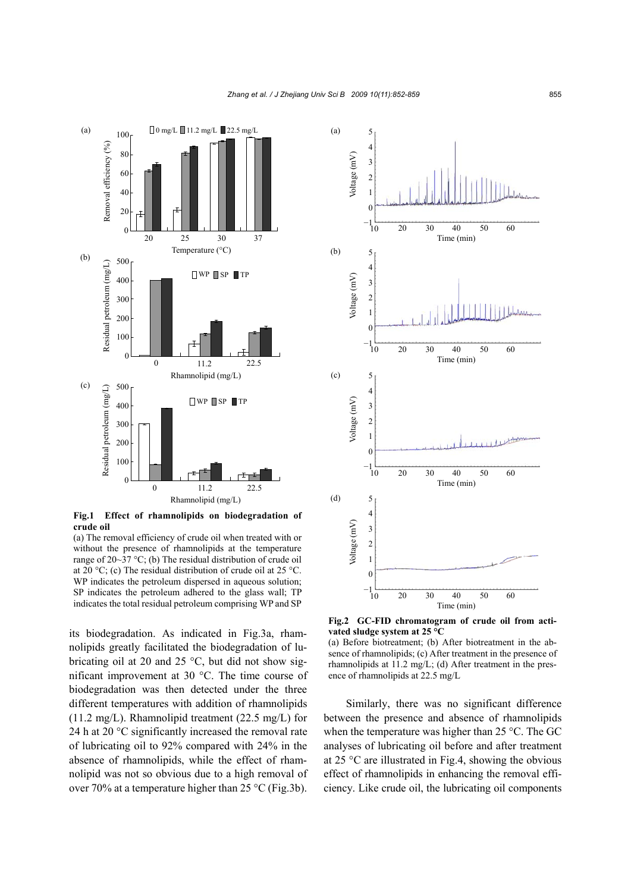

**Fig.1 Effect of rhamnolipids on biodegradation of crude oil**

(a) The removal efficiency of crude oil when treated with or without the presence of rhamnolipids at the temperature range of 20~37 °C; (b) The residual distribution of crude oil at 20 °C; (c) The residual distribution of crude oil at 25 °C. WP indicates the petroleum dispersed in aqueous solution; SP indicates the petroleum adhered to the glass wall; TP indicates the total residual petroleum comprising WP and SP

its biodegradation. As indicated in Fig.3a, rhamnolipids greatly facilitated the biodegradation of lubricating oil at 20 and 25  $^{\circ}$ C, but did not show significant improvement at 30 °C. The time course of biodegradation was then detected under the three different temperatures with addition of rhamnolipids (11.2 mg/L). Rhamnolipid treatment (22.5 mg/L) for 24 h at 20 °C significantly increased the removal rate of lubricating oil to 92% compared with 24% in the absence of rhamnolipids, while the effect of rhamnolipid was not so obvious due to a high removal of over 70% at a temperature higher than 25 °C (Fig.3b).



**Fig.2 GC-FID chromatogram of crude oil from activated sludge system at 25 °C** 

(a) Before biotreatment; (b) After biotreatment in the absence of rhamnolipids; (c) After treatment in the presence of rhamnolipids at 11.2 mg/L; (d) After treatment in the presence of rhamnolipids at 22.5 mg/L

Similarly, there was no significant difference between the presence and absence of rhamnolipids when the temperature was higher than 25 °C. The GC analyses of lubricating oil before and after treatment at 25 °C are illustrated in Fig.4, showing the obvious effect of rhamnolipids in enhancing the removal efficiency. Like crude oil, the lubricating oil components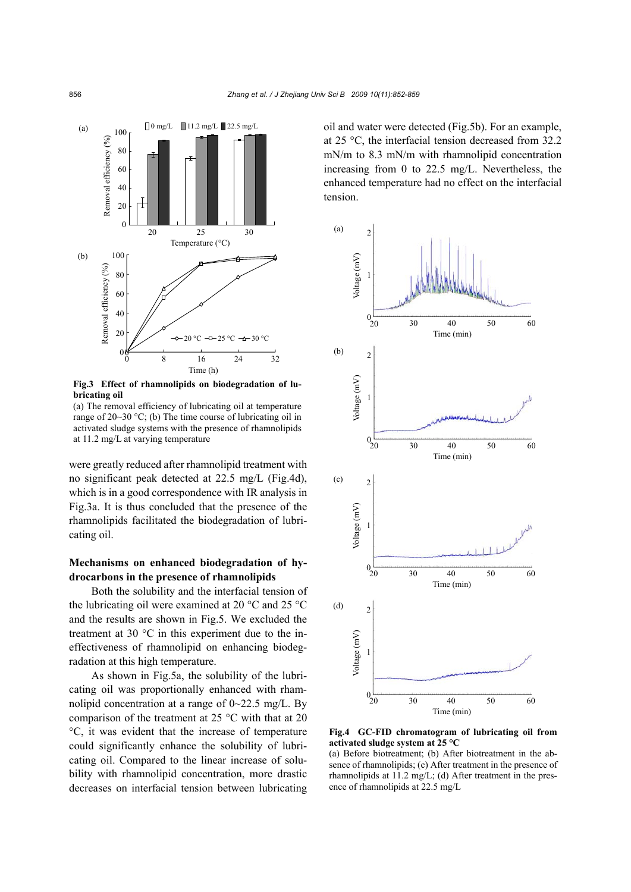

**Fig.3 Effect of rhamnolipids on biodegradation of lubricating oil**

(a) The removal efficiency of lubricating oil at temperature range of 20~30 °C; (b) The time course of lubricating oil in activated sludge systems with the presence of rhamnolipids at 11.2 mg/L at varying temperature

were greatly reduced after rhamnolipid treatment with no significant peak detected at 22.5 mg/L (Fig.4d), which is in a good correspondence with IR analysis in Fig.3a. It is thus concluded that the presence of the rhamnolipids facilitated the biodegradation of lubricating oil.

# **Mechanisms on enhanced biodegradation of hydrocarbons in the presence of rhamnolipids**

Both the solubility and the interfacial tension of the lubricating oil were examined at 20 °C and 25 °C and the results are shown in Fig.5. We excluded the treatment at 30 °C in this experiment due to the ineffectiveness of rhamnolipid on enhancing biodegradation at this high temperature.

As shown in Fig.5a, the solubility of the lubricating oil was proportionally enhanced with rhamnolipid concentration at a range of  $0 \sim 22.5$  mg/L. By comparison of the treatment at 25 °C with that at 20 °C, it was evident that the increase of temperature could significantly enhance the solubility of lubricating oil. Compared to the linear increase of solubility with rhamnolipid concentration, more drastic decreases on interfacial tension between lubricating oil and water were detected (Fig.5b). For an example, at 25 °C, the interfacial tension decreased from 32.2 mN/m to 8.3 mN/m with rhamnolipid concentration increasing from 0 to 22.5 mg/L. Nevertheless, the enhanced temperature had no effect on the interfacial tension.



**Fig.4 GC-FID chromatogram of lubricating oil from activated sludge system at 25 °C** 

(a) Before biotreatment; (b) After biotreatment in the absence of rhamnolipids; (c) After treatment in the presence of rhamnolipids at 11.2 mg/L; (d) After treatment in the presence of rhamnolipids at 22.5 mg/L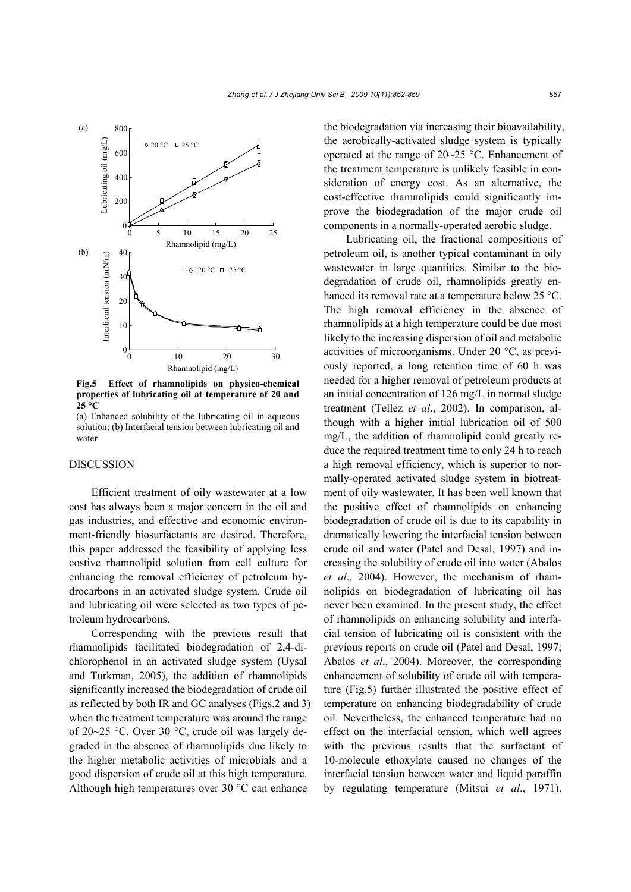

**Fig.5 Effect of rhamnolipids on physico-chemical properties of lubricating oil at temperature of 20 and 25 °C** 

(a) Enhanced solubility of the lubricating oil in aqueous solution; (b) Interfacial tension between lubricating oil and water

# DISCUSSION

Efficient treatment of oily wastewater at a low cost has always been a major concern in the oil and gas industries, and effective and economic environment-friendly biosurfactants are desired. Therefore, this paper addressed the feasibility of applying less costive rhamnolipid solution from cell culture for enhancing the removal efficiency of petroleum hydrocarbons in an activated sludge system. Crude oil and lubricating oil were selected as two types of petroleum hydrocarbons.

Corresponding with the previous result that rhamnolipids facilitated biodegradation of 2,4-dichlorophenol in an activated sludge system (Uysal and Turkman, 2005), the addition of rhamnolipids significantly increased the biodegradation of crude oil as reflected by both IR and GC analyses (Figs.2 and 3) when the treatment temperature was around the range of 20~25 °C. Over 30 °C, crude oil was largely degraded in the absence of rhamnolipids due likely to the higher metabolic activities of microbials and a good dispersion of crude oil at this high temperature. Although high temperatures over 30 °C can enhance

the biodegradation via increasing their bioavailability, the aerobically-activated sludge system is typically operated at the range of 20~25 °C. Enhancement of the treatment temperature is unlikely feasible in consideration of energy cost. As an alternative, the cost-effective rhamnolipids could significantly improve the biodegradation of the major crude oil components in a normally-operated aerobic sludge.

Lubricating oil, the fractional compositions of petroleum oil, is another typical contaminant in oily wastewater in large quantities. Similar to the biodegradation of crude oil, rhamnolipids greatly enhanced its removal rate at a temperature below 25 °C. The high removal efficiency in the absence of rhamnolipids at a high temperature could be due most likely to the increasing dispersion of oil and metabolic activities of microorganisms. Under 20 °C, as previously reported, a long retention time of 60 h was needed for a higher removal of petroleum products at an initial concentration of 126 mg/L in normal sludge treatment (Tellez *et al*., 2002). In comparison, although with a higher initial lubrication oil of 500 mg/L, the addition of rhamnolipid could greatly reduce the required treatment time to only 24 h to reach a high removal efficiency, which is superior to normally-operated activated sludge system in biotreatment of oily wastewater. It has been well known that the positive effect of rhamnolipids on enhancing biodegradation of crude oil is due to its capability in dramatically lowering the interfacial tension between crude oil and water (Patel and Desal, 1997) and increasing the solubility of crude oil into water (Abalos *et al*., 2004). However, the mechanism of rhamnolipids on biodegradation of lubricating oil has never been examined. In the present study, the effect of rhamnolipids on enhancing solubility and interfacial tension of lubricating oil is consistent with the previous reports on crude oil (Patel and Desal, 1997; Abalos *et al*., 2004). Moreover, the corresponding enhancement of solubility of crude oil with temperature (Fig.5) further illustrated the positive effect of temperature on enhancing biodegradability of crude oil. Nevertheless, the enhanced temperature had no effect on the interfacial tension, which well agrees with the previous results that the surfactant of 10-molecule ethoxylate caused no changes of the interfacial tension between water and liquid paraffin by regulating temperature (Mitsui *et al*., 1971).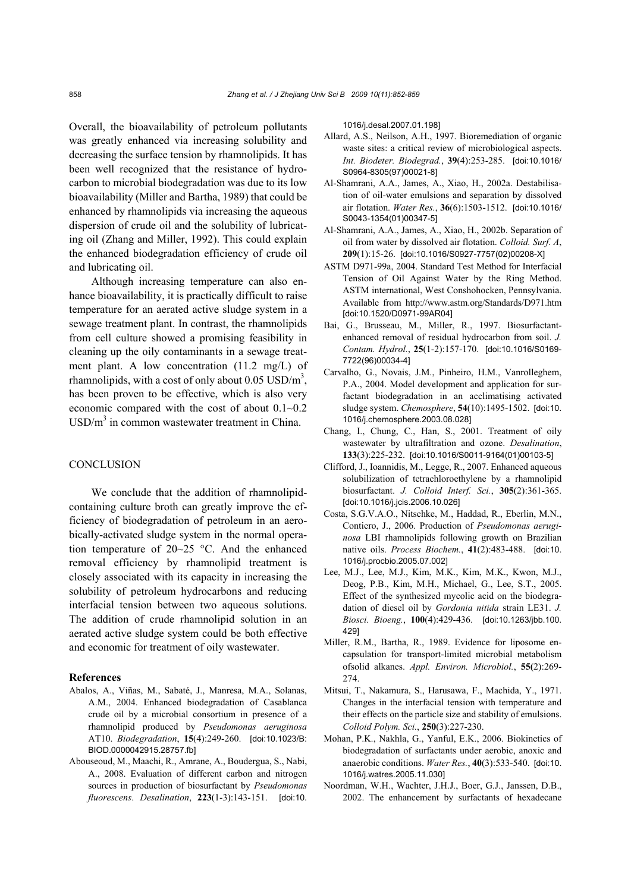Overall, the bioavailability of petroleum pollutants was greatly enhanced via increasing solubility and decreasing the surface tension by rhamnolipids. It has been well recognized that the resistance of hydrocarbon to microbial biodegradation was due to its low bioavailability (Miller and Bartha, 1989) that could be enhanced by rhamnolipids via increasing the aqueous dispersion of crude oil and the solubility of lubricating oil (Zhang and Miller, 1992). This could explain the enhanced biodegradation efficiency of crude oil and lubricating oil.

Although increasing temperature can also enhance bioavailability, it is practically difficult to raise temperature for an aerated active sludge system in a sewage treatment plant. In contrast, the rhamnolipids from cell culture showed a promising feasibility in cleaning up the oily contaminants in a sewage treatment plant. A low concentration (11.2 mg/L) of rhamnolipids, with a cost of only about  $0.05 \text{ USD/m}^3$ , has been proven to be effective, which is also very economic compared with the cost of about 0.1~0.2  $\text{USD/m}^3$  in common wastewater treatment in China.

# **CONCLUSION**

We conclude that the addition of rhamnolipidcontaining culture broth can greatly improve the efficiency of biodegradation of petroleum in an aerobically-activated sludge system in the normal operation temperature of 20~25 °C. And the enhanced removal efficiency by rhamnolipid treatment is closely associated with its capacity in increasing the solubility of petroleum hydrocarbons and reducing interfacial tension between two aqueous solutions. The addition of crude rhamnolipid solution in an aerated active sludge system could be both effective and economic for treatment of oily wastewater.

# **References**

- Abalos, A., Viñas, M., Sabaté, J., Manresa, M.A., Solanas, A.M., 2004. Enhanced biodegradation of Casablanca crude oil by a microbial consortium in presence of a rhamnolipid produced by *Pseudomonas aeruginosa* AT10. *Biodegradation*, **15**(4):249-260. [doi:10.1023/B: BIOD.0000042915.28757.fb]
- Abouseoud, M., Maachi, R., Amrane, A., Boudergua, S., Nabi, A., 2008. Evaluation of different carbon and nitrogen sources in production of biosurfactant by *Pseudomonas fluorescens*. *Desalination*, **223**(1-3):143-151. [doi:10.

1016/j.desal.2007.01.198]

- Allard, A.S., Neilson, A.H., 1997. Bioremediation of organic waste sites: a critical review of microbiological aspects. *Int. Biodeter. Biodegrad.*, **39**(4):253-285. [doi:10.1016/ S0964-8305(97)00021-8]
- Al-Shamrani, A.A., James, A., Xiao, H., 2002a. Destabilisation of oil-water emulsions and separation by dissolved air flotation. *Water Res.*, **36**(6):1503-1512. [doi:10.1016/ S0043-1354(01)00347-5]
- Al-Shamrani, A.A., James, A., Xiao, H., 2002b. Separation of oil from water by dissolved air flotation. *Colloid. Surf. A*, **209**(1):15-26. [doi:10.1016/S0927-7757(02)00208-X]
- ASTM D971-99a, 2004. Standard Test Method for Interfacial Tension of Oil Against Water by the Ring Method. ASTM international, West Conshohocken, Pennsylvania. Available from http://www.astm.org/Standards/D971.htm [doi:10.1520/D0971-99AR04]
- Bai, G., Brusseau, M., Miller, R., 1997. Biosurfactantenhanced removal of residual hydrocarbon from soil. *J. Contam. Hydrol.*, **25**(1-2):157-170. [doi:10.1016/S0169- 7722(96)00034-4]
- Carvalho, G., Novais, J.M., Pinheiro, H.M., Vanrolleghem, P.A., 2004. Model development and application for surfactant biodegradation in an acclimatising activated sludge system. *Chemosphere*, **54**(10):1495-1502. [doi:10. 1016/j.chemosphere.2003.08.028]
- Chang, I., Chung, C., Han, S., 2001. Treatment of oily wastewater by ultrafiltration and ozone. *Desalination*, **133**(3):225-232. [doi:10.1016/S0011-9164(01)00103-5]
- Clifford, J., Ioannidis, M., Legge, R., 2007. Enhanced aqueous solubilization of tetrachloroethylene by a rhamnolipid biosurfactant. *J. Colloid Interf. Sci.*, **305**(2):361-365. [doi:10.1016/j.jcis.2006.10.026]
- Costa, S.G.V.A.O., Nitschke, M., Haddad, R., Eberlin, M.N., Contiero, J., 2006. Production of *Pseudomonas aeruginosa* LBI rhamnolipids following growth on Brazilian native oils. *Process Biochem.*, **41**(2):483-488. [doi:10. 1016/j.procbio.2005.07.002]
- Lee, M.J., Lee, M.J., Kim, M.K., Kim, M.K., Kwon, M.J., Deog, P.B., Kim, M.H., Michael, G., Lee, S.T., 2005. Effect of the synthesized mycolic acid on the biodegradation of diesel oil by *Gordonia nitida* strain LE31. *J. Biosci. Bioeng.*, **100**(4):429-436. [doi:10.1263/jbb.100. 429]
- Miller, R.M., Bartha, R., 1989. Evidence for liposome encapsulation for transport-limited microbial metabolism ofsolid alkanes. *Appl. Environ. Microbiol.*, **55(**2):269- 274.
- Mitsui, T., Nakamura, S., Harusawa, F., Machida, Y., 1971. Changes in the interfacial tension with temperature and their effects on the particle size and stability of emulsions. *Colloid Polym. Sci.*, **250**(3):227-230.
- Mohan, P.K., Nakhla, G., Yanful, E.K., 2006. Biokinetics of biodegradation of surfactants under aerobic, anoxic and anaerobic conditions. *Water Res.*, **40**(3):533-540. [doi:10. 1016/j.watres.2005.11.030]
- Noordman, W.H., Wachter, J.H.J., Boer, G.J., Janssen, D.B., 2002. The enhancement by surfactants of hexadecane